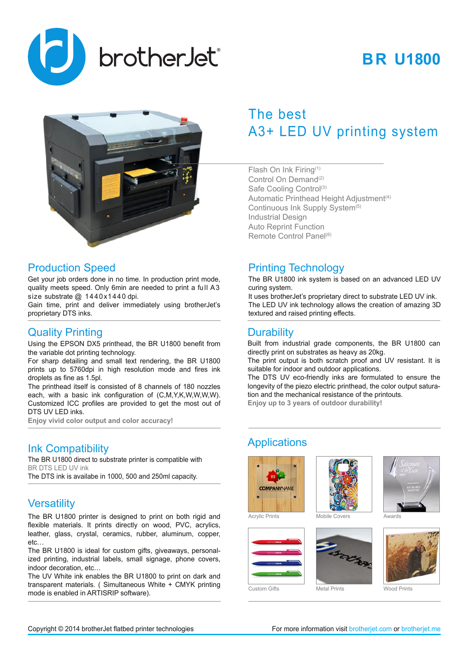

# **BR U1800**



#### Production Speed

Get your job orders done in no time. In production print mode, quality meets speed. Only 6min are needed to print a full A3 size substrate @ 1440x1440 dpi.

Gain time, print and deliver immediately using brotherJet's proprietary DTS inks.

#### Quality Printing

Using the EPSON DX5 printhead, the BR U1800 benefit from the variable dot printing technology.

For sharp detailing and small text rendering, the BR U1800 prints up to 5760dpi in high resolution mode and fires ink droplets as fine as 1.5pl.

The printhead itself is consisted of 8 channels of 180 nozzles each, with a basic ink configuration of (C,M,Y,K,W,W,W,W). Customized ICC profiles are provided to get the most out of DTS UV LED inks.

**Enjoy vivid color output and color accuracy!**

### Ink Compatibility

The BR U1800 direct to substrate printer is compatible with BR DTS LED UV ink

The DTS ink is availabe in 1000, 500 and 250ml capacity.

### **Versatility**

The BR U1800 printer is designed to print on both rigid and flexible materials. It prints directly on wood, PVC, acrylics, leather, glass, crystal, ceramics, rubber, aluminum, copper, etc…

The BR U1800 is ideal for custom gifts, giveaways, personalized printing, industrial labels, small signage, phone covers, indoor decoration, etc…

The UV White ink enables the BR U1800 to print on dark and transparent materials. ( Simultaneous White + CMYK printing mode is enabled in ARTISRIP software).

# The best A3+ LED UV printing system

Flash On Ink Firing(1) Control On Demand<sup>(2)</sup> Safe Cooling Control<sup>(3)</sup> Automatic Printhead Height Adjustment<sup>(4)</sup> Continuous Ink Supply System<sup>(5)</sup> Industrial Design Auto Reprint Function Remote Control Panel<sup>(6)</sup>

## Printing Technology

The BR U1800 ink system is based on an advanced LED UV curing system.

It uses brotherJet's proprietary direct to substrate LED UV ink. The LED UV ink technology allows the creation of amazing 3D textured and raised printing effects.

#### **Durability**

Built from industrial grade components, the BR U1800 can directly print on substrates as heavy as 20kg.

The print output is both scratch proof and UV resistant. It is suitable for indoor and outdoor applications.

The DTS UV eco-friendly inks are formulated to ensure the longevity of the piezo electric printhead, the color output saturation and the mechanical resistance of the printouts. **Enjoy up to 3 years of outdoor durability!**

## **Applications**